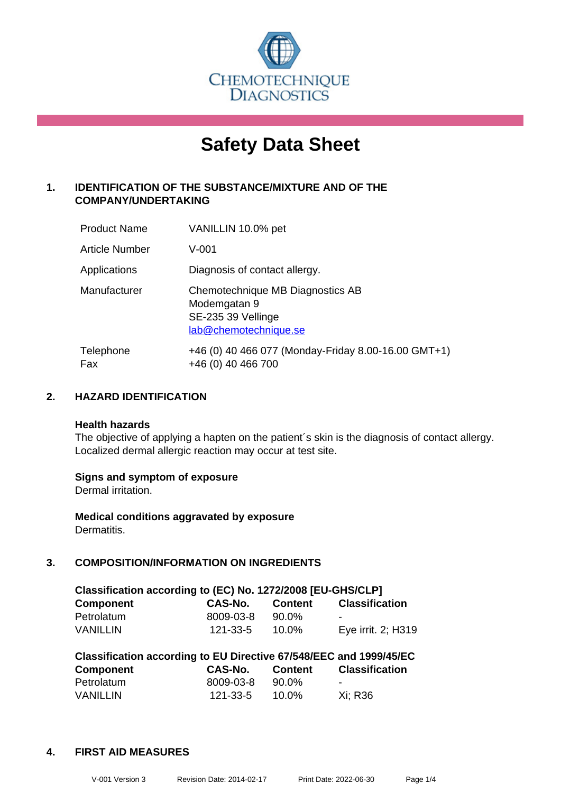

# **Safety Data Sheet**

# **1. IDENTIFICATION OF THE SUBSTANCE/MIXTURE AND OF THE COMPANY/UNDERTAKING**

| <b>Product Name</b> | VANILLIN 10.0% pet                                                                              |
|---------------------|-------------------------------------------------------------------------------------------------|
| Article Number      | $V - 001$                                                                                       |
| Applications        | Diagnosis of contact allergy.                                                                   |
| Manufacturer        | Chemotechnique MB Diagnostics AB<br>Modemgatan 9<br>SE-235 39 Vellinge<br>lab@chemotechnique.se |
| Telephone<br>Fax    | +46 (0) 40 466 077 (Monday-Friday 8.00-16.00 GMT+1)<br>+46 (0) 40 466 700                       |

# **2. HAZARD IDENTIFICATION**

#### **Health hazards**

The objective of applying a hapten on the patient's skin is the diagnosis of contact allergy. Localized dermal allergic reaction may occur at test site.

#### **Signs and symptom of exposure**

Dermal irritation.

**Medical conditions aggravated by exposure** Dermatitis.

# **3. COMPOSITION/INFORMATION ON INGREDIENTS**

| Classification according to (EC) No. 1272/2008 [EU-GHS/CLP] |                |                |                       |  |
|-------------------------------------------------------------|----------------|----------------|-----------------------|--|
| <b>Component</b>                                            | CAS-No.        | <b>Content</b> | <b>Classification</b> |  |
| Petrolatum                                                  | 8009-03-8      | 90.0%          | -                     |  |
| <b>VANILLIN</b>                                             | $121 - 33 - 5$ | $10.0\%$       | Eye irrit. 2; H319    |  |
|                                                             |                |                |                       |  |

| Classification according to EU Directive 67/548/EEC and 1999/45/EC |                |                |                       |  |  |
|--------------------------------------------------------------------|----------------|----------------|-----------------------|--|--|
| <b>Component</b>                                                   | <b>CAS-No.</b> | <b>Content</b> | <b>Classification</b> |  |  |
| Petrolatum                                                         | 8009-03-8      | 90.0%          | -                     |  |  |
| <b>VANILLIN</b>                                                    | 121-33-5       | 10.0%          | Xi: R36               |  |  |

#### **4. FIRST AID MEASURES**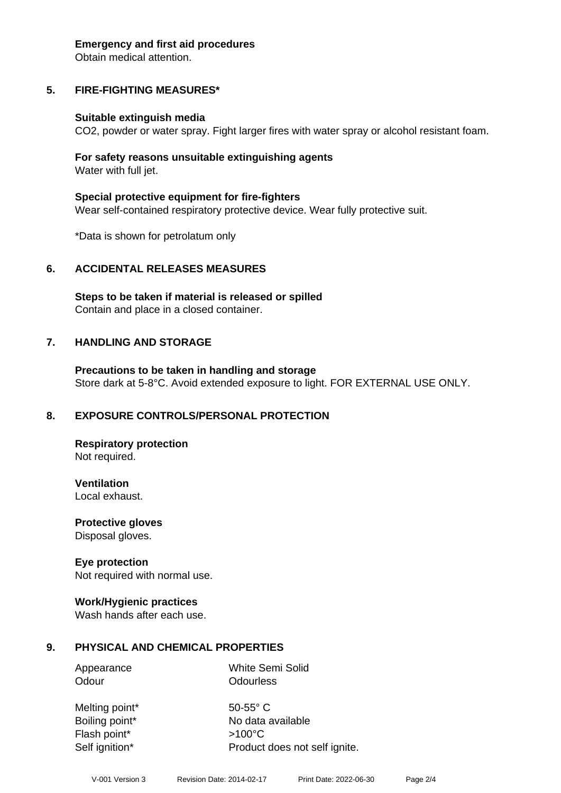#### **Emergency and first aid procedures**

Obtain medical attention.

# **5. FIRE-FIGHTING MEASURES\***

#### **Suitable extinguish media**

CO2, powder or water spray. Fight larger fires with water spray or alcohol resistant foam.

#### **For safety reasons unsuitable extinguishing agents** Water with full jet.

**Special protective equipment for fire-fighters** Wear self-contained respiratory protective device. Wear fully protective suit.

\*Data is shown for petrolatum only

#### **6. ACCIDENTAL RELEASES MEASURES**

**Steps to be taken if material is released or spilled** Contain and place in a closed container.

#### **7. HANDLING AND STORAGE**

**Precautions to be taken in handling and storage** Store dark at 5-8°C. Avoid extended exposure to light. FOR EXTERNAL USE ONLY.

#### **8. EXPOSURE CONTROLS/PERSONAL PROTECTION**

**Respiratory protection** Not required.

**Ventilation**

Local exhaust.

**Protective gloves** Disposal gloves.

#### **Eye protection**

Not required with normal use.

#### **Work/Hygienic practices**

Wash hands after each use.

#### **9. PHYSICAL AND CHEMICAL PROPERTIES**

Appearance White Semi Solid Odour **Odourless** 

Melting point\* 50-55° C Boiling point\* No data available Flash point\* >100°C Self ignition\* Product does not self ignite.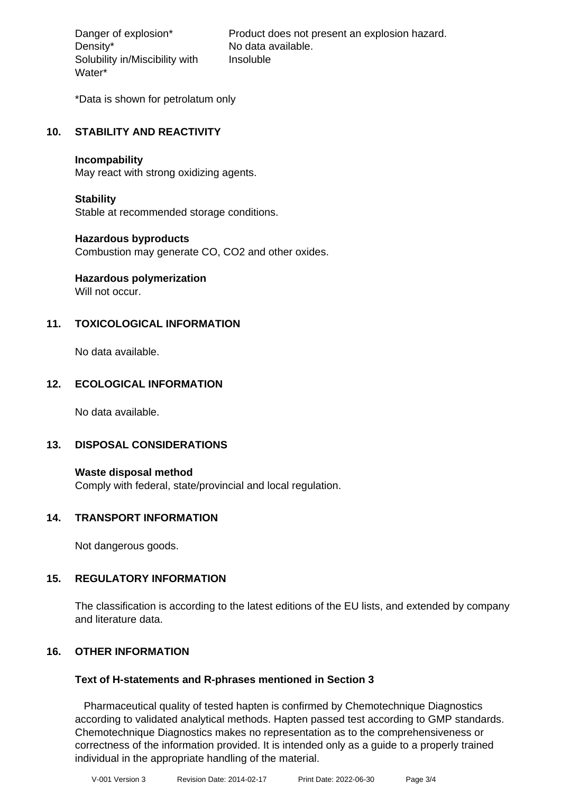Density\* No data available. Solubility in/Miscibility with Water\*

Danger of explosion\* Product does not present an explosion hazard. Insoluble

\*Data is shown for petrolatum only

# **10. STABILITY AND REACTIVITY**

#### **Incompability**

May react with strong oxidizing agents.

#### **Stability**

Stable at recommended storage conditions.

#### **Hazardous byproducts**

Combustion may generate CO, CO2 and other oxides.

# **Hazardous polymerization**

Will not occur.

# **11. TOXICOLOGICAL INFORMATION**

No data available.

# **12. ECOLOGICAL INFORMATION**

No data available.

#### **13. DISPOSAL CONSIDERATIONS**

**Waste disposal method** Comply with federal, state/provincial and local regulation.

#### **14. TRANSPORT INFORMATION**

Not dangerous goods.

#### **15. REGULATORY INFORMATION**

The classification is according to the latest editions of the EU lists, and extended by company and literature data.

# **16. OTHER INFORMATION**

#### **Text of H-statements and R-phrases mentioned in Section 3**

 Pharmaceutical quality of tested hapten is confirmed by Chemotechnique Diagnostics according to validated analytical methods. Hapten passed test according to GMP standards. Chemotechnique Diagnostics makes no representation as to the comprehensiveness or correctness of the information provided. It is intended only as a guide to a properly trained individual in the appropriate handling of the material.